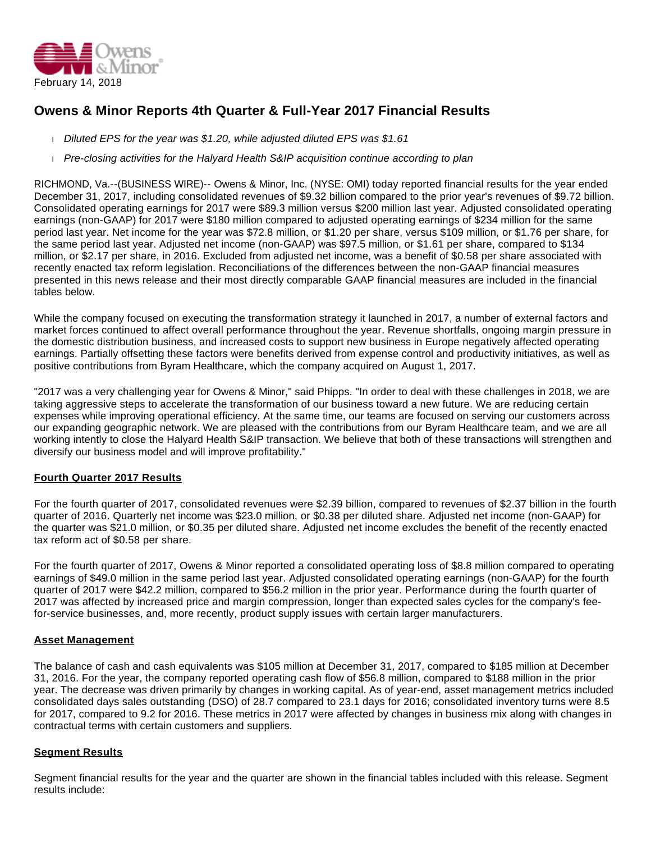

# **Owens & Minor Reports 4th Quarter & Full-Year 2017 Financial Results**

- Diluted EPS for the year was \$1.20, while adjusted diluted EPS was \$1.61
- Pre-closing activities for the Halyard Health S&IP acquisition continue according to plan

RICHMOND, Va.--(BUSINESS WIRE)-- Owens & Minor, Inc. (NYSE: OMI) today reported financial results for the year ended December 31, 2017, including consolidated revenues of \$9.32 billion compared to the prior year's revenues of \$9.72 billion. Consolidated operating earnings for 2017 were \$89.3 million versus \$200 million last year. Adjusted consolidated operating earnings (non-GAAP) for 2017 were \$180 million compared to adjusted operating earnings of \$234 million for the same period last year. Net income for the year was \$72.8 million, or \$1.20 per share, versus \$109 million, or \$1.76 per share, for the same period last year. Adjusted net income (non-GAAP) was \$97.5 million, or \$1.61 per share, compared to \$134 million, or \$2.17 per share, in 2016. Excluded from adjusted net income, was a benefit of \$0.58 per share associated with recently enacted tax reform legislation. Reconciliations of the differences between the non-GAAP financial measures presented in this news release and their most directly comparable GAAP financial measures are included in the financial tables below.

While the company focused on executing the transformation strategy it launched in 2017, a number of external factors and market forces continued to affect overall performance throughout the year. Revenue shortfalls, ongoing margin pressure in the domestic distribution business, and increased costs to support new business in Europe negatively affected operating earnings. Partially offsetting these factors were benefits derived from expense control and productivity initiatives, as well as positive contributions from Byram Healthcare, which the company acquired on August 1, 2017.

"2017 was a very challenging year for Owens & Minor," said Phipps. "In order to deal with these challenges in 2018, we are taking aggressive steps to accelerate the transformation of our business toward a new future. We are reducing certain expenses while improving operational efficiency. At the same time, our teams are focused on serving our customers across our expanding geographic network. We are pleased with the contributions from our Byram Healthcare team, and we are all working intently to close the Halyard Health S&IP transaction. We believe that both of these transactions will strengthen and diversify our business model and will improve profitability."

#### **Fourth Quarter 2017 Results**

For the fourth quarter of 2017, consolidated revenues were \$2.39 billion, compared to revenues of \$2.37 billion in the fourth quarter of 2016. Quarterly net income was \$23.0 million, or \$0.38 per diluted share. Adjusted net income (non-GAAP) for the quarter was \$21.0 million, or \$0.35 per diluted share. Adjusted net income excludes the benefit of the recently enacted tax reform act of \$0.58 per share.

For the fourth quarter of 2017, Owens & Minor reported a consolidated operating loss of \$8.8 million compared to operating earnings of \$49.0 million in the same period last year. Adjusted consolidated operating earnings (non-GAAP) for the fourth quarter of 2017 were \$42.2 million, compared to \$56.2 million in the prior year. Performance during the fourth quarter of 2017 was affected by increased price and margin compression, longer than expected sales cycles for the company's feefor-service businesses, and, more recently, product supply issues with certain larger manufacturers.

#### **Asset Management**

The balance of cash and cash equivalents was \$105 million at December 31, 2017, compared to \$185 million at December 31, 2016. For the year, the company reported operating cash flow of \$56.8 million, compared to \$188 million in the prior year. The decrease was driven primarily by changes in working capital. As of year-end, asset management metrics included consolidated days sales outstanding (DSO) of 28.7 compared to 23.1 days for 2016; consolidated inventory turns were 8.5 for 2017, compared to 9.2 for 2016. These metrics in 2017 were affected by changes in business mix along with changes in contractual terms with certain customers and suppliers.

#### **Segment Results**

Segment financial results for the year and the quarter are shown in the financial tables included with this release. Segment results include: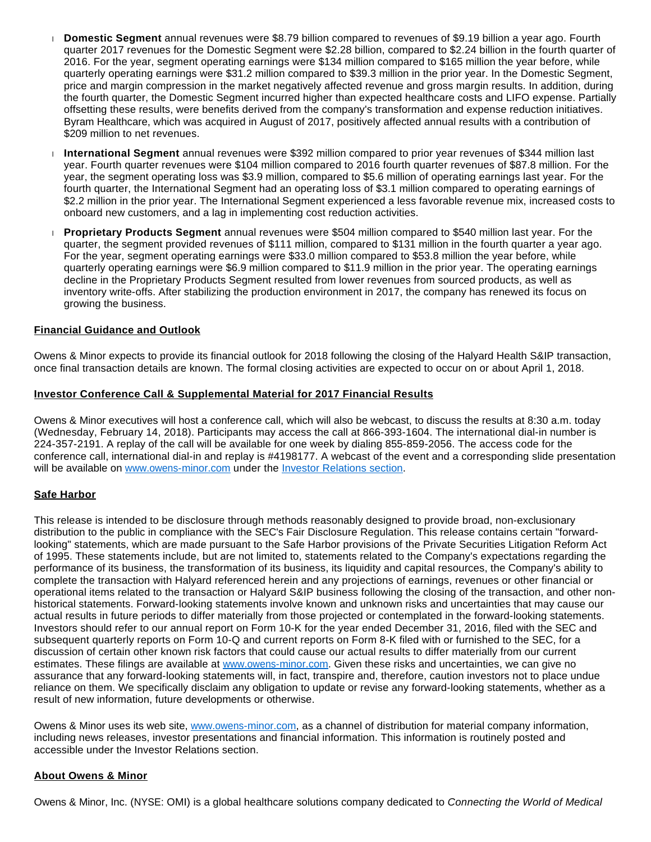- **Domestic Segment** annual revenues were \$8.79 billion compared to revenues of \$9.19 billion a year ago. Fourth quarter 2017 revenues for the Domestic Segment were \$2.28 billion, compared to \$2.24 billion in the fourth quarter of 2016. For the year, segment operating earnings were \$134 million compared to \$165 million the year before, while quarterly operating earnings were \$31.2 million compared to \$39.3 million in the prior year. In the Domestic Segment, price and margin compression in the market negatively affected revenue and gross margin results. In addition, during the fourth quarter, the Domestic Segment incurred higher than expected healthcare costs and LIFO expense. Partially offsetting these results, were benefits derived from the company's transformation and expense reduction initiatives. Byram Healthcare, which was acquired in August of 2017, positively affected annual results with a contribution of \$209 million to net revenues.
- **International Segment** annual revenues were \$392 million compared to prior year revenues of \$344 million last year. Fourth quarter revenues were \$104 million compared to 2016 fourth quarter revenues of \$87.8 million. For the year, the segment operating loss was \$3.9 million, compared to \$5.6 million of operating earnings last year. For the fourth quarter, the International Segment had an operating loss of \$3.1 million compared to operating earnings of \$2.2 million in the prior year. The International Segment experienced a less favorable revenue mix, increased costs to onboard new customers, and a lag in implementing cost reduction activities.
- **Proprietary Products Segment** annual revenues were \$504 million compared to \$540 million last year. For the quarter, the segment provided revenues of \$111 million, compared to \$131 million in the fourth quarter a year ago. For the year, segment operating earnings were \$33.0 million compared to \$53.8 million the year before, while quarterly operating earnings were \$6.9 million compared to \$11.9 million in the prior year. The operating earnings decline in the Proprietary Products Segment resulted from lower revenues from sourced products, as well as inventory write-offs. After stabilizing the production environment in 2017, the company has renewed its focus on growing the business.

### **Financial Guidance and Outlook**

Owens & Minor expects to provide its financial outlook for 2018 following the closing of the Halyard Health S&IP transaction, once final transaction details are known. The formal closing activities are expected to occur on or about April 1, 2018.

#### **Investor Conference Call & Supplemental Material for 2017 Financial Results**

Owens & Minor executives will host a conference call, which will also be webcast, to discuss the results at 8:30 a.m. today (Wednesday, February 14, 2018). Participants may access the call at 866-393-1604. The international dial-in number is 224-357-2191. A replay of the call will be available for one week by dialing 855-859-2056. The access code for the conference call, international dial-in and replay is #4198177. A webcast of the event and a corresponding slide presentation will be available on [www.owens-minor.com](http://cts.businesswire.com/ct/CT?id=smartlink&url=http%3A%2F%2Fwww.owens-minor.com&esheet=51758407&newsitemid=20180214005495&lan=en-US&anchor=www.owens-minor.com&index=1&md5=33793e76b6db0ae65dc09f474ef5ede1) under the [Investor Relations section](http://cts.businesswire.com/ct/CT?id=smartlink&url=http%3A%2F%2Finvestors.owens-minor.com%2Fevents.cfm&esheet=51758407&newsitemid=20180214005495&lan=en-US&anchor=Investor+Relations+section&index=2&md5=b89e0a9fa455bf5ea5b539356e67a33f).

#### **Safe Harbor**

This release is intended to be disclosure through methods reasonably designed to provide broad, non-exclusionary distribution to the public in compliance with the SEC's Fair Disclosure Regulation. This release contains certain "forwardlooking" statements, which are made pursuant to the Safe Harbor provisions of the Private Securities Litigation Reform Act of 1995. These statements include, but are not limited to, statements related to the Company's expectations regarding the performance of its business, the transformation of its business, its liquidity and capital resources, the Company's ability to complete the transaction with Halyard referenced herein and any projections of earnings, revenues or other financial or operational items related to the transaction or Halyard S&IP business following the closing of the transaction, and other nonhistorical statements. Forward-looking statements involve known and unknown risks and uncertainties that may cause our actual results in future periods to differ materially from those projected or contemplated in the forward-looking statements. Investors should refer to our annual report on Form 10-K for the year ended December 31, 2016, filed with the SEC and subsequent quarterly reports on Form 10-Q and current reports on Form 8-K filed with or furnished to the SEC, for a discussion of certain other known risk factors that could cause our actual results to differ materially from our current estimates. These filings are available at [www.owens-minor.com.](http://cts.businesswire.com/ct/CT?id=smartlink&url=http%3A%2F%2Fwww.owens-minor.com&esheet=51758407&newsitemid=20180214005495&lan=en-US&anchor=www.owens-minor.com&index=3&md5=0c7a9454fc46fa99d59599d45a37ad55) Given these risks and uncertainties, we can give no assurance that any forward-looking statements will, in fact, transpire and, therefore, caution investors not to place undue reliance on them. We specifically disclaim any obligation to update or revise any forward-looking statements, whether as a result of new information, future developments or otherwise.

Owens & Minor uses its web site, [www.owens-minor.com,](http://cts.businesswire.com/ct/CT?id=smartlink&url=http%3A%2F%2Fwww.owens-minor.com&esheet=51758407&newsitemid=20180214005495&lan=en-US&anchor=www.owens-minor.com&index=4&md5=49acd4ba4367c69119928bfe31dc8a7a) as a channel of distribution for material company information, including news releases, investor presentations and financial information. This information is routinely posted and accessible under the Investor Relations section.

#### **About Owens & Minor**

Owens & Minor, Inc. (NYSE: OMI) is a global healthcare solutions company dedicated to Connecting the World of Medical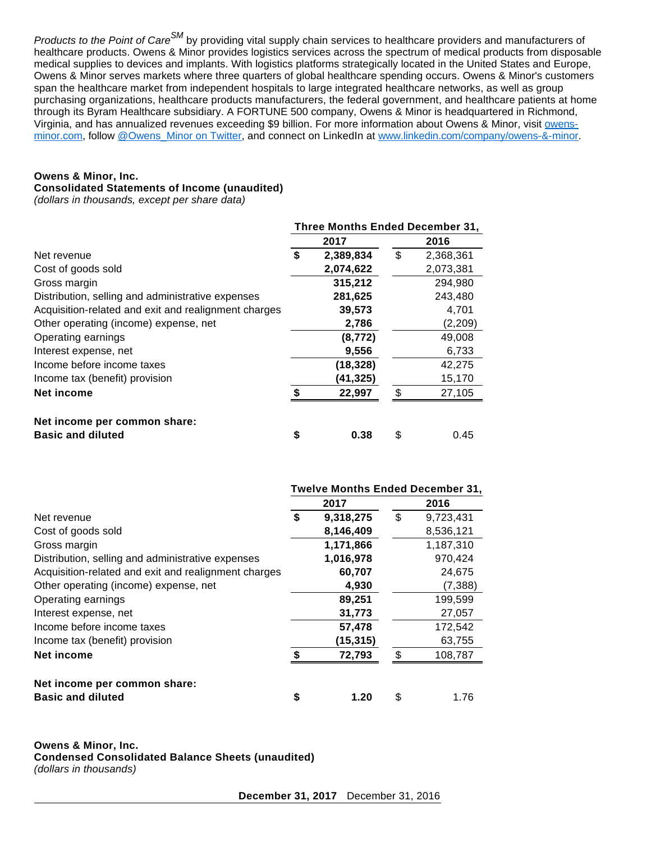Products to the Point of Care<sup>SM</sup> by providing vital supply chain services to healthcare providers and manufacturers of healthcare products. Owens & Minor provides logistics services across the spectrum of medical products from disposable medical supplies to devices and implants. With logistics platforms strategically located in the United States and Europe, Owens & Minor serves markets where three quarters of global healthcare spending occurs. Owens & Minor's customers span the healthcare market from independent hospitals to large integrated healthcare networks, as well as group purchasing organizations, healthcare products manufacturers, the federal government, and healthcare patients at home through its Byram Healthcare subsidiary. A FORTUNE 500 company, Owens & Minor is headquartered in Richmond, Virginia, and has annualized revenues exceeding \$9 billion. For more information about Owens & Minor, visit [owens](http://cts.businesswire.com/ct/CT?id=smartlink&url=http%3A%2F%2Fwww.owens-minor.com&esheet=51758407&newsitemid=20180214005495&lan=en-US&anchor=owens-minor.com&index=5&md5=0fd06305aaaab0c3e60837b116fe4aaf)[minor.com,](http://cts.businesswire.com/ct/CT?id=smartlink&url=http%3A%2F%2Fwww.owens-minor.com&esheet=51758407&newsitemid=20180214005495&lan=en-US&anchor=owens-minor.com&index=5&md5=0fd06305aaaab0c3e60837b116fe4aaf) follow [@Owens\\_Minor on Twitter](http://cts.businesswire.com/ct/CT?id=smartlink&url=https%3A%2F%2Ftwitter.com%2FOwens_Minor&esheet=51758407&newsitemid=20180214005495&lan=en-US&anchor=%40Owens_Minor+on+Twitter&index=6&md5=0abfc0a02f8ad675399912db0b2de751), and connect on LinkedIn at [www.linkedin.com/company/owens-&-minor](http://cts.businesswire.com/ct/CT?id=smartlink&url=http%3A%2F%2Fwww.linkedin.com%2Fcompany%2Fowens-%26-minor&esheet=51758407&newsitemid=20180214005495&lan=en-US&anchor=www.linkedin.com%2Fcompany%2Fowens-%26-minor&index=7&md5=ec1d10fb8d5a45f9836413a63e1a87a2).

## **Owens & Minor, Inc.**

### **Consolidated Statements of Income (unaudited)**

(dollars in thousands, except per share data)

|                                                      | Three Months Ended December 31, |           |    |           |  |  |
|------------------------------------------------------|---------------------------------|-----------|----|-----------|--|--|
|                                                      |                                 | 2017      |    | 2016      |  |  |
| Net revenue                                          |                                 | 2,389,834 | \$ | 2,368,361 |  |  |
| Cost of goods sold                                   |                                 | 2,074,622 |    | 2,073,381 |  |  |
| Gross margin                                         |                                 | 315,212   |    | 294,980   |  |  |
| Distribution, selling and administrative expenses    |                                 | 281,625   |    | 243,480   |  |  |
| Acquisition-related and exit and realignment charges |                                 | 39,573    |    | 4,701     |  |  |
| Other operating (income) expense, net                |                                 | 2,786     |    | (2,209)   |  |  |
| Operating earnings                                   |                                 | (8, 772)  |    | 49,008    |  |  |
| Interest expense, net                                |                                 | 9,556     |    | 6,733     |  |  |
| Income before income taxes                           |                                 | (18, 328) |    | 42,275    |  |  |
| Income tax (benefit) provision                       |                                 | (41,325)  |    | 15,170    |  |  |
| Net income                                           | \$                              | 22,997    | \$ | 27,105    |  |  |
| Net income per common share:                         |                                 |           |    |           |  |  |
| <b>Basic and diluted</b>                             | \$                              | 0.38      | S  | 0.45      |  |  |

|                                                      | <b>Twelve Months Ended December 31,</b> |           |    |           |  |  |  |
|------------------------------------------------------|-----------------------------------------|-----------|----|-----------|--|--|--|
|                                                      |                                         | 2017      |    | 2016      |  |  |  |
| Net revenue                                          | \$                                      | 9,318,275 | \$ | 9,723,431 |  |  |  |
| Cost of goods sold                                   |                                         | 8,146,409 |    | 8,536,121 |  |  |  |
| Gross margin                                         |                                         | 1,171,866 |    | 1,187,310 |  |  |  |
| Distribution, selling and administrative expenses    |                                         | 1,016,978 |    | 970,424   |  |  |  |
| Acquisition-related and exit and realignment charges |                                         | 60,707    |    | 24,675    |  |  |  |
| Other operating (income) expense, net                |                                         | 4,930     |    | (7, 388)  |  |  |  |
| Operating earnings                                   |                                         | 89,251    |    | 199,599   |  |  |  |
| Interest expense, net                                |                                         | 31,773    |    | 27,057    |  |  |  |
| Income before income taxes                           |                                         | 57,478    |    | 172,542   |  |  |  |
| Income tax (benefit) provision                       |                                         | (15, 315) |    | 63,755    |  |  |  |
| Net income                                           | \$                                      | 72,793    | \$ | 108,787   |  |  |  |
| Net income per common share:                         |                                         |           |    |           |  |  |  |
| <b>Basic and diluted</b>                             | S                                       | 1.20      | \$ | 1.76      |  |  |  |

#### **Owens & Minor, Inc.**

**Condensed Consolidated Balance Sheets (unaudited)**

(dollars in thousands)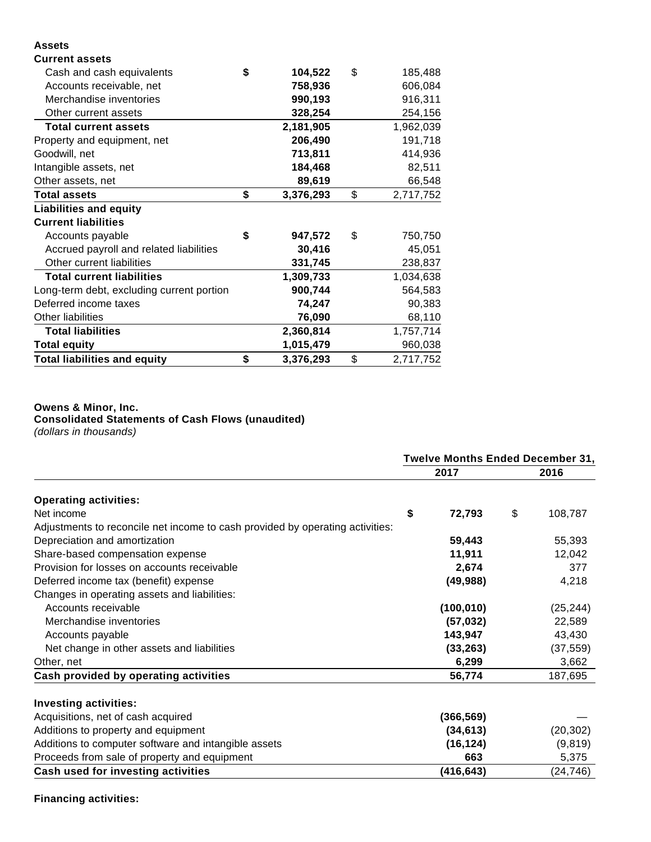## **Assets**

| <b>Current assets</b>                     |                 |                 |
|-------------------------------------------|-----------------|-----------------|
| Cash and cash equivalents                 | \$<br>104,522   | \$<br>185,488   |
| Accounts receivable, net                  | 758,936         | 606,084         |
| Merchandise inventories                   | 990,193         | 916,311         |
| Other current assets                      | 328,254         | 254,156         |
| <b>Total current assets</b>               | 2,181,905       | 1,962,039       |
| Property and equipment, net               | 206,490         | 191,718         |
| Goodwill, net                             | 713,811         | 414,936         |
| Intangible assets, net                    | 184,468         | 82,511          |
| Other assets, net                         | 89,619          | 66,548          |
| <b>Total assets</b>                       | \$<br>3,376,293 | \$<br>2,717,752 |
| <b>Liabilities and equity</b>             |                 |                 |
| <b>Current liabilities</b>                |                 |                 |
| Accounts payable                          | \$<br>947,572   | \$<br>750,750   |
| Accrued payroll and related liabilities   | 30,416          | 45,051          |
| Other current liabilities                 | 331,745         | 238,837         |
| <b>Total current liabilities</b>          | 1,309,733       | 1,034,638       |
| Long-term debt, excluding current portion | 900,744         | 564,583         |
| Deferred income taxes                     | 74,247          | 90,383          |
| Other liabilities                         | 76,090          | 68,110          |
| <b>Total liabilities</b>                  | 2,360,814       | 1,757,714       |
| <b>Total equity</b>                       | 1,015,479       | 960,038         |
| <b>Total liabilities and equity</b>       | \$<br>3,376,293 | \$<br>2,717,752 |

# **Owens & Minor, Inc. Consolidated Statements of Cash Flows (unaudited)**

(dollars in thousands)

|                                                                               | <b>Twelve Months Ended December 31,</b> |            |    |           |  |  |
|-------------------------------------------------------------------------------|-----------------------------------------|------------|----|-----------|--|--|
|                                                                               |                                         | 2017       |    | 2016      |  |  |
| <b>Operating activities:</b>                                                  |                                         |            |    |           |  |  |
| Net income                                                                    | \$                                      | 72,793     | \$ | 108,787   |  |  |
| Adjustments to reconcile net income to cash provided by operating activities: |                                         |            |    |           |  |  |
| Depreciation and amortization                                                 |                                         | 59,443     |    | 55,393    |  |  |
| Share-based compensation expense                                              |                                         | 11,911     |    | 12,042    |  |  |
| Provision for losses on accounts receivable                                   |                                         | 2,674      |    | 377       |  |  |
| Deferred income tax (benefit) expense                                         |                                         | (49, 988)  |    | 4,218     |  |  |
| Changes in operating assets and liabilities:                                  |                                         |            |    |           |  |  |
| Accounts receivable                                                           |                                         | (100, 010) |    | (25, 244) |  |  |
| Merchandise inventories                                                       |                                         | (57, 032)  |    | 22,589    |  |  |
| Accounts payable                                                              |                                         | 143,947    |    | 43,430    |  |  |
| Net change in other assets and liabilities                                    |                                         | (33, 263)  |    | (37, 559) |  |  |
| Other, net                                                                    |                                         | 6,299      |    | 3,662     |  |  |
| Cash provided by operating activities                                         |                                         | 56,774     |    | 187,695   |  |  |
| <b>Investing activities:</b>                                                  |                                         |            |    |           |  |  |
| Acquisitions, net of cash acquired                                            |                                         | (366, 569) |    |           |  |  |
| Additions to property and equipment                                           |                                         | (34, 613)  |    | (20, 302) |  |  |
| Additions to computer software and intangible assets                          |                                         | (16, 124)  |    | (9, 819)  |  |  |
| Proceeds from sale of property and equipment                                  |                                         | 663        |    | 5,375     |  |  |
| Cash used for investing activities                                            |                                         | (416, 643) |    | (24, 746) |  |  |

# **Financing activities:**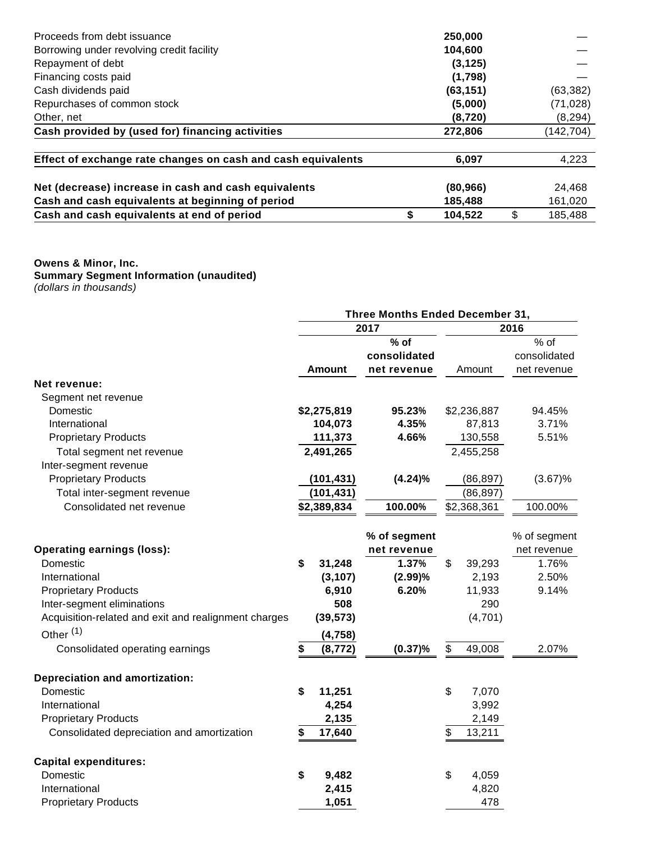| Proceeds from debt issuance                                  | 250,000       |               |
|--------------------------------------------------------------|---------------|---------------|
| Borrowing under revolving credit facility                    | 104,600       |               |
| Repayment of debt                                            | (3, 125)      |               |
| Financing costs paid                                         | (1,798)       |               |
| Cash dividends paid                                          | (63, 151)     | (63, 382)     |
| Repurchases of common stock                                  | (5,000)       | (71, 028)     |
| Other, net                                                   | (8, 720)      | (8, 294)      |
| Cash provided by (used for) financing activities             | 272,806       | (142,704)     |
| Effect of exchange rate changes on cash and cash equivalents | 6,097         | 4,223         |
| Net (decrease) increase in cash and cash equivalents         | (80, 966)     | 24,468        |
| Cash and cash equivalents at beginning of period             | 185,488       | 161,020       |
| Cash and cash equivalents at end of period                   | \$<br>104,522 | \$<br>185,488 |

#### **Owens & Minor, Inc. Summary Segment Information (unaudited)** (dollars in thousands)

|                                                      | Three Months Ended December 31, |               |              |      |             |              |  |
|------------------------------------------------------|---------------------------------|---------------|--------------|------|-------------|--------------|--|
|                                                      |                                 |               | 2017         | 2016 |             |              |  |
|                                                      |                                 |               | $%$ of       |      |             | % of         |  |
|                                                      |                                 |               | consolidated |      |             | consolidated |  |
|                                                      |                                 | <b>Amount</b> | net revenue  |      | Amount      | net revenue  |  |
| Net revenue:                                         |                                 |               |              |      |             |              |  |
| Segment net revenue                                  |                                 |               |              |      |             |              |  |
| Domestic                                             |                                 | \$2,275,819   | 95.23%       |      | \$2,236,887 | 94.45%       |  |
| International                                        |                                 | 104,073       | 4.35%        |      | 87,813      | 3.71%        |  |
| <b>Proprietary Products</b>                          |                                 | 111,373       | 4.66%        |      | 130,558     | 5.51%        |  |
| Total segment net revenue                            |                                 | 2,491,265     |              |      | 2,455,258   |              |  |
| Inter-segment revenue                                |                                 |               |              |      |             |              |  |
| <b>Proprietary Products</b>                          |                                 | (101, 431)    | (4.24)%      |      | (86, 897)   | (3.67)%      |  |
| Total inter-segment revenue                          |                                 | (101, 431)    |              |      | (86, 897)   |              |  |
| Consolidated net revenue                             |                                 | \$2,389,834   | 100.00%      |      | \$2,368,361 | 100.00%      |  |
|                                                      |                                 |               | % of segment |      |             | % of segment |  |
| <b>Operating earnings (loss):</b>                    |                                 |               | net revenue  |      |             | net revenue  |  |
| Domestic                                             | \$                              | 31,248        | 1.37%        | \$   | 39,293      | 1.76%        |  |
| International                                        |                                 | (3, 107)      | (2.99)%      |      | 2,193       | 2.50%        |  |
| <b>Proprietary Products</b>                          |                                 | 6,910         | 6.20%        |      | 11,933      | 9.14%        |  |
| Inter-segment eliminations                           |                                 | 508           |              |      | 290         |              |  |
| Acquisition-related and exit and realignment charges |                                 | (39, 573)     |              |      | (4,701)     |              |  |
| Other <sup>(1)</sup>                                 |                                 | (4, 758)      |              |      |             |              |  |
| Consolidated operating earnings                      | \$                              | (8, 772)      | (0.37)%      | \$   | 49,008      | 2.07%        |  |
| <b>Depreciation and amortization:</b>                |                                 |               |              |      |             |              |  |
| Domestic                                             | \$                              | 11,251        |              | \$   | 7,070       |              |  |
| International                                        |                                 | 4,254         |              |      | 3,992       |              |  |
| <b>Proprietary Products</b>                          |                                 | 2,135         |              |      | 2,149       |              |  |
| Consolidated depreciation and amortization           | \$                              | 17,640        |              | \$   | 13,211      |              |  |
| <b>Capital expenditures:</b>                         |                                 |               |              |      |             |              |  |
| Domestic                                             | \$                              | 9,482         |              | \$   | 4,059       |              |  |
| International                                        |                                 | 2,415         |              |      | 4,820       |              |  |
| <b>Proprietary Products</b>                          |                                 | 1,051         |              |      | 478         |              |  |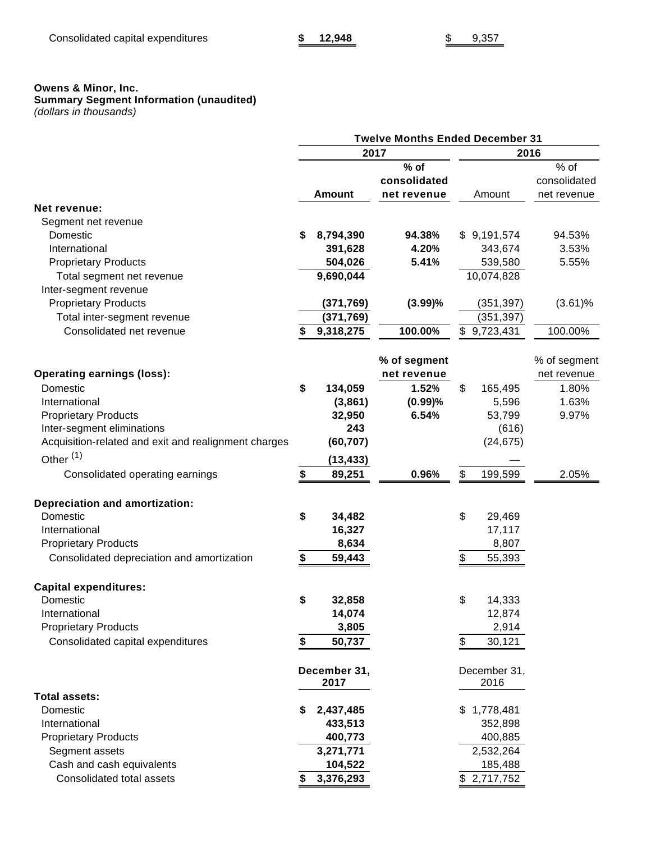## **Owens & Minor, Inc.**

#### **Summary Segment Information (unaudited)**

(dollars in thousands)

|                                                      |                 | <b>Twelve Months Ended December 31</b> |      |              |              |  |  |
|------------------------------------------------------|-----------------|----------------------------------------|------|--------------|--------------|--|--|
|                                                      |                 | 2017                                   | 2016 |              |              |  |  |
|                                                      |                 | $%$ of                                 |      |              | % of         |  |  |
|                                                      |                 | consolidated                           |      |              | consolidated |  |  |
|                                                      | <b>Amount</b>   | net revenue                            |      | Amount       | net revenue  |  |  |
| <b>Net revenue:</b>                                  |                 |                                        |      |              |              |  |  |
| Segment net revenue                                  |                 |                                        |      |              |              |  |  |
| Domestic                                             | \$<br>8,794,390 | 94.38%                                 |      | \$9,191,574  | 94.53%       |  |  |
| International                                        | 391,628         | 4.20%                                  |      | 343,674      | 3.53%        |  |  |
| <b>Proprietary Products</b>                          | 504,026         | 5.41%                                  |      | 539,580      | 5.55%        |  |  |
| Total segment net revenue                            | 9,690,044       |                                        |      | 10,074,828   |              |  |  |
| Inter-segment revenue                                |                 |                                        |      |              |              |  |  |
| <b>Proprietary Products</b>                          | (371, 769)      | (3.99)%                                |      | (351, 397)   | $(3.61)\%$   |  |  |
| Total inter-segment revenue                          | (371, 769)      |                                        |      | (351, 397)   |              |  |  |
| Consolidated net revenue                             | \$<br>9,318,275 | 100.00%                                |      | \$9,723,431  | 100.00%      |  |  |
|                                                      |                 |                                        |      |              |              |  |  |
|                                                      |                 | % of segment                           |      |              | % of segment |  |  |
| <b>Operating earnings (loss):</b>                    |                 | net revenue                            |      |              | net revenue  |  |  |
| Domestic                                             | \$<br>134,059   | 1.52%                                  | \$   | 165,495      | 1.80%        |  |  |
| International                                        | (3,861)         | (0.99)%                                |      | 5,596        | 1.63%        |  |  |
| <b>Proprietary Products</b>                          | 32,950          | 6.54%                                  |      | 53,799       | 9.97%        |  |  |
| Inter-segment eliminations                           | 243             |                                        |      | (616)        |              |  |  |
| Acquisition-related and exit and realignment charges | (60, 707)       |                                        |      | (24, 675)    |              |  |  |
| Other <sup>(1)</sup>                                 |                 |                                        |      |              |              |  |  |
|                                                      | (13, 433)       |                                        |      |              |              |  |  |
| Consolidated operating earnings                      | \$<br>89,251    | 0.96%                                  | \$   | 199,599      | 2.05%        |  |  |
| <b>Depreciation and amortization:</b>                |                 |                                        |      |              |              |  |  |
| Domestic                                             | \$<br>34,482    |                                        | \$   | 29,469       |              |  |  |
| International                                        | 16,327          |                                        |      | 17,117       |              |  |  |
| <b>Proprietary Products</b>                          | 8,634           |                                        |      | 8,807        |              |  |  |
| Consolidated depreciation and amortization           | \$<br>59,443    |                                        | \$   | 55,393       |              |  |  |
| <b>Capital expenditures:</b>                         |                 |                                        |      |              |              |  |  |
| Domestic                                             | \$<br>32,858    |                                        | \$   | 14,333       |              |  |  |
| International                                        | 14,074          |                                        |      | 12,874       |              |  |  |
| <b>Proprietary Products</b>                          | 3,805           |                                        |      | 2,914        |              |  |  |
| Consolidated capital expenditures                    | \$<br>50,737    |                                        | \$   | 30,121       |              |  |  |
|                                                      |                 |                                        |      |              |              |  |  |
|                                                      | December 31,    |                                        |      | December 31, |              |  |  |
|                                                      | 2017            |                                        |      | 2016         |              |  |  |
| <b>Total assets:</b>                                 |                 |                                        |      |              |              |  |  |
| Domestic                                             | \$<br>2,437,485 |                                        |      | \$1,778,481  |              |  |  |
| International                                        | 433,513         |                                        |      | 352,898      |              |  |  |
| <b>Proprietary Products</b>                          | 400,773         |                                        |      | 400,885      |              |  |  |
| Segment assets                                       | 3,271,771       |                                        |      | 2,532,264    |              |  |  |
| Cash and cash equivalents                            | 104,522         |                                        |      | 185,488      |              |  |  |
| Consolidated total assets                            | \$3,376,293     |                                        |      | \$2,717,752  |              |  |  |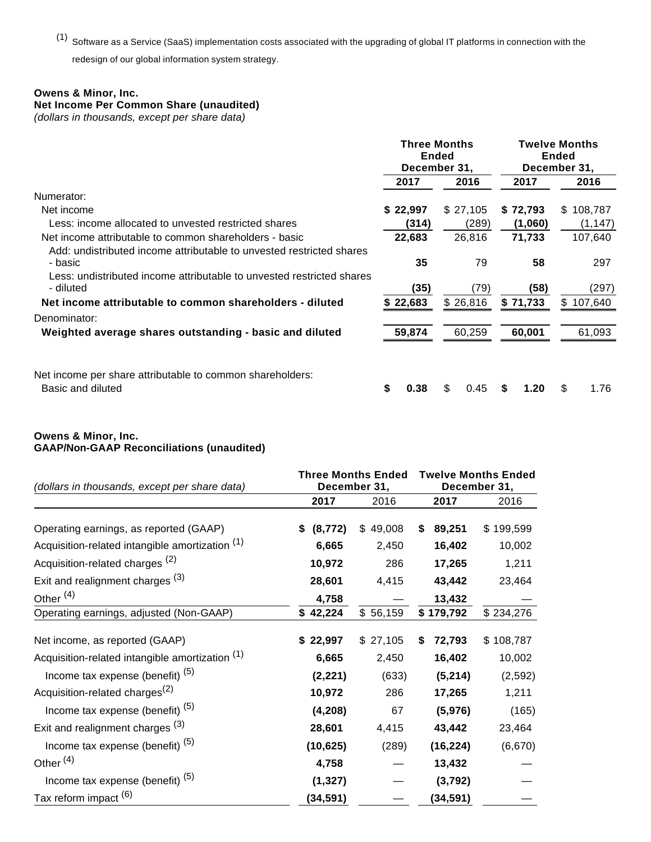(1) Software as a Service (SaaS) implementation costs associated with the upgrading of global IT platforms in connection with the redesign of our global information system strategy.

## **Owens & Minor, Inc.**

# **Net Income Per Common Share (unaudited)**

(dollars in thousands, except per share data)

|                                                                                    | <b>Three Months</b><br><b>Ended</b><br>December 31, |            |           | <b>Twelve Months</b><br><b>Ended</b><br>December 31, |
|------------------------------------------------------------------------------------|-----------------------------------------------------|------------|-----------|------------------------------------------------------|
|                                                                                    | 2017                                                | 2016       | 2017      | 2016                                                 |
| Numerator:                                                                         |                                                     |            |           |                                                      |
| Net income                                                                         | \$22,997                                            | \$27,105   | \$72,793  | \$108,787                                            |
| Less: income allocated to unvested restricted shares                               | (314)                                               | (289)      | (1,060)   | (1, 147)                                             |
| Net income attributable to common shareholders - basic                             | 22,683                                              | 26,816     | 71,733    | 107,640                                              |
| Add: undistributed income attributable to unvested restricted shares<br>- basic    | 35                                                  | 79         | 58        | 297                                                  |
| Less: undistributed income attributable to unvested restricted shares<br>- diluted | (35)                                                | (79)       | (58)      | (297)                                                |
| Net income attributable to common shareholders - diluted                           | \$22,683                                            | \$26,816   | \$71,733  | \$107,640                                            |
| Denominator:                                                                       |                                                     |            |           |                                                      |
| Weighted average shares outstanding - basic and diluted                            | 59,874                                              | 60,259     | 60.001    | 61,093                                               |
| Net income per share attributable to common shareholders:<br>Basic and diluted     | S<br>0.38                                           | \$<br>0.45 | 1.20<br>S | \$<br>1.76                                           |

### **Owens & Minor, Inc. GAAP/Non-GAAP Reconciliations (unaudited)**

| (dollars in thousands, except per share data)   |                | <b>Three Months Ended</b><br>December 31, | <b>Twelve Months Ended</b><br>December 31, |           |  |  |
|-------------------------------------------------|----------------|-------------------------------------------|--------------------------------------------|-----------|--|--|
|                                                 | 2017           | 2016                                      | 2017                                       | 2016      |  |  |
| Operating earnings, as reported (GAAP)          | (8, 772)<br>\$ | \$49,008                                  | 89,251<br>\$                               | \$199,599 |  |  |
| Acquisition-related intangible amortization (1) | 6,665          | 2,450                                     | 16,402                                     | 10,002    |  |  |
| Acquisition-related charges <sup>(2)</sup>      | 10,972         | 286                                       | 17,265                                     | 1,211     |  |  |
| Exit and realignment charges (3)                | 28,601         | 4,415                                     | 43,442                                     | 23,464    |  |  |
| Other <sup>(4)</sup>                            | 4,758          |                                           | 13,432                                     |           |  |  |
| Operating earnings, adjusted (Non-GAAP)         | \$42,224       | \$56,159                                  | \$179,792                                  | \$234,276 |  |  |
| Net income, as reported (GAAP)                  | \$22,997       | \$27,105                                  | 72,793<br>S                                | \$108,787 |  |  |
| Acquisition-related intangible amortization (1) | 6,665          | 2,450                                     | 16,402                                     | 10,002    |  |  |
| Income tax expense (benefit) <sup>(5)</sup>     | (2, 221)       | (633)                                     | (5,214)                                    | (2,592)   |  |  |
| Acquisition-related charges <sup>(2)</sup>      | 10,972         | 286                                       | 17,265                                     | 1,211     |  |  |
| Income tax expense (benefit) <sup>(5)</sup>     | (4, 208)       | 67                                        | (5,976)                                    | (165)     |  |  |
| Exit and realignment charges (3)                | 28,601         | 4,415                                     | 43,442                                     | 23,464    |  |  |
| Income tax expense (benefit) <sup>(5)</sup>     | (10, 625)      | (289)                                     | (16, 224)                                  | (6,670)   |  |  |
| Other $(4)$                                     | 4,758          |                                           | 13,432                                     |           |  |  |
| Income tax expense (benefit) <sup>(5)</sup>     | (1, 327)       |                                           | (3, 792)                                   |           |  |  |
| Tax reform impact (6)                           | (34, 591)      |                                           | (34, 591)                                  |           |  |  |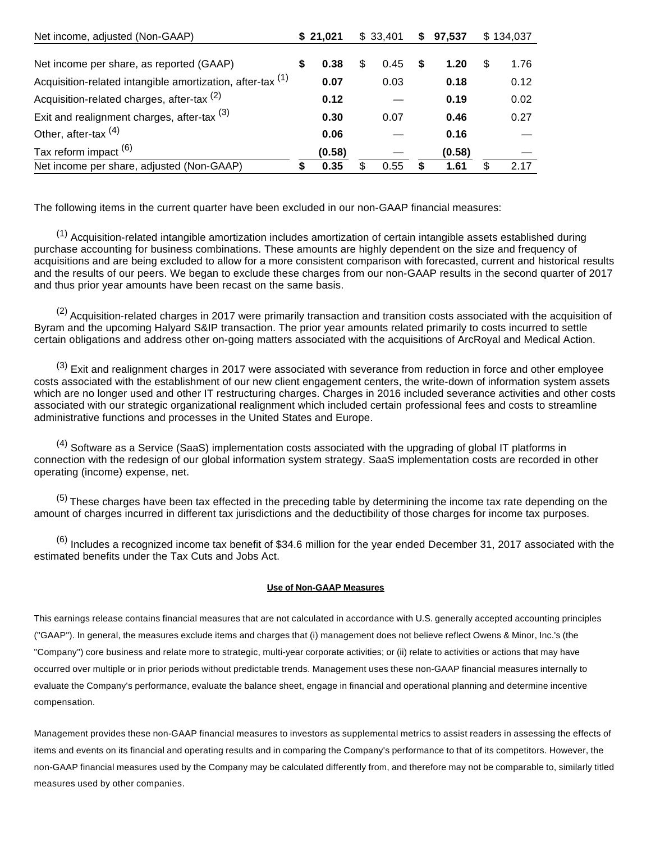| Net income, adjusted (Non-GAAP)                                       |   | \$21,021 |     | \$33,401 | S | 97,537 |   | \$134,037 |
|-----------------------------------------------------------------------|---|----------|-----|----------|---|--------|---|-----------|
|                                                                       |   |          |     |          |   |        |   |           |
| Net income per share, as reported (GAAP)                              | S | 0.38     | \$. | 0.45     |   | 1.20   | S | 1.76      |
| Acquisition-related intangible amortization, after-tax <sup>(1)</sup> |   | 0.07     |     | 0.03     |   | 0.18   |   | 0.12      |
| Acquisition-related charges, after-tax <sup>(2)</sup>                 |   | 0.12     |     |          |   | 0.19   |   | 0.02      |
| Exit and realignment charges, after-tax $(3)$                         |   | 0.30     |     | 0.07     |   | 0.46   |   | 0.27      |
| Other, after-tax $(4)$                                                |   | 0.06     |     |          |   | 0.16   |   |           |
| Tax reform impact <sup>(6)</sup>                                      |   | (0.58)   |     |          |   | (0.58) |   |           |
| Net income per share, adjusted (Non-GAAP)                             | S | 0.35     | S   | 0.55     | S | 1.61   |   | 2.17      |

The following items in the current quarter have been excluded in our non-GAAP financial measures:

 $<sup>(1)</sup>$  Acquisition-related intangible amortization includes amortization of certain intangible assets established during</sup> purchase accounting for business combinations. These amounts are highly dependent on the size and frequency of acquisitions and are being excluded to allow for a more consistent comparison with forecasted, current and historical results and the results of our peers. We began to exclude these charges from our non-GAAP results in the second quarter of 2017 and thus prior year amounts have been recast on the same basis.

<sup>(2)</sup> Acquisition-related charges in 2017 were primarily transaction and transition costs associated with the acquisition of Byram and the upcoming Halyard S&IP transaction. The prior year amounts related primarily to costs incurred to settle certain obligations and address other on-going matters associated with the acquisitions of ArcRoyal and Medical Action.

 $(3)$  Exit and realignment charges in 2017 were associated with severance from reduction in force and other employee costs associated with the establishment of our new client engagement centers, the write-down of information system assets which are no longer used and other IT restructuring charges. Charges in 2016 included severance activities and other costs associated with our strategic organizational realignment which included certain professional fees and costs to streamline administrative functions and processes in the United States and Europe.

 $(4)$  Software as a Service (SaaS) implementation costs associated with the upgrading of global IT platforms in connection with the redesign of our global information system strategy. SaaS implementation costs are recorded in other operating (income) expense, net.

 $(5)$  These charges have been tax effected in the preceding table by determining the income tax rate depending on the amount of charges incurred in different tax jurisdictions and the deductibility of those charges for income tax purposes.

 $^{(6)}$  Includes a recognized income tax benefit of \$34.6 million for the year ended December 31, 2017 associated with the estimated benefits under the Tax Cuts and Jobs Act.

#### **Use of Non-GAAP Measures**

This earnings release contains financial measures that are not calculated in accordance with U.S. generally accepted accounting principles ("GAAP"). In general, the measures exclude items and charges that (i) management does not believe reflect Owens & Minor, Inc.'s (the "Company") core business and relate more to strategic, multi-year corporate activities; or (ii) relate to activities or actions that may have occurred over multiple or in prior periods without predictable trends. Management uses these non-GAAP financial measures internally to evaluate the Company's performance, evaluate the balance sheet, engage in financial and operational planning and determine incentive compensation.

Management provides these non-GAAP financial measures to investors as supplemental metrics to assist readers in assessing the effects of items and events on its financial and operating results and in comparing the Company's performance to that of its competitors. However, the non-GAAP financial measures used by the Company may be calculated differently from, and therefore may not be comparable to, similarly titled measures used by other companies.